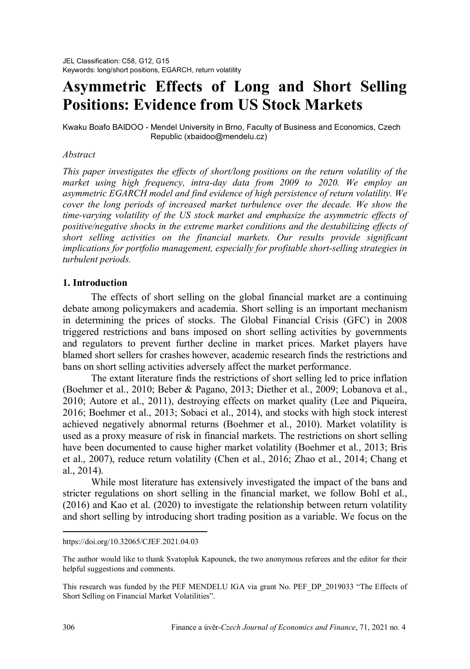# **Asymmetric Effects of Long and Short Selling Positions: Evidence from US Stock Markets**

Kwaku Boafo BAIDOO - Mendel University in Brno, Faculty of Business and Economics, Czech Republic (xbaidoo@mendelu.cz)

# *Abstract[1](#page-0-0)*

*This paper investigates the effects of short/long positions on the return volatility of the market using high frequency, intra-day data from 2009 to 2020. We employ an asymmetric EGARCH model and find evidence of high persistence of return volatility. We cover the long periods of increased market turbulence over the decade. We show the time-varying volatility of the US stock market and emphasize the asymmetric effects of positive/negative shocks in the extreme market conditions and the destabilizing effects of short selling activities on the financial markets. Our results provide significant implications for portfolio management, especially for profitable short-selling strategies in turbulent periods.* 

# **1. Introduction**

The effects of short selling on the global financial market are a continuing debate among policymakers and academia. Short selling is an important mechanism in determining the prices of stocks. The Global Financial Crisis (GFC) in 2008 triggered restrictions and bans imposed on short selling activities by governments and regulators to prevent further decline in market prices. Market players have blamed short sellers for crashes however, academic research finds the restrictions and bans on short selling activities adversely affect the market performance.

The extant literature finds the restrictions of short selling led to price inflation (Boehmer et al., 2010; Beber & Pagano, 2013; Diether et al., 2009; Lobanova et al., 2010; Autore et al., 2011), destroying effects on market quality (Lee and Piqueira, 2016; Boehmer et al., 2013; Sobaci et al., 2014), and stocks with high stock interest achieved negatively abnormal returns (Boehmer et al., 2010). Market volatility is used as a proxy measure of risk in financial markets. The restrictions on short selling have been documented to cause higher market volatility (Boehmer et al., 2013; Bris et al., 2007), reduce return volatility (Chen et al., 2016; Zhao et al., 2014; Chang et al., 2014).

While most literature has extensively investigated the impact of the bans and stricter regulations on short selling in the financial market, we follow Bohl et al., (2016) and Kao et al. (2020) to investigate the relationship between return volatility and short selling by introducing short trading position as a variable. We focus on the

 $\overline{a}$ 

<span id="page-0-0"></span>https://doi.org/10.32065/CJEF.2021.04.03

The author would like to thank Svatopluk Kapounek, the two anonymous referees and the editor for their helpful suggestions and comments.

This research was funded by the PEF MENDELU IGA via grant No. PEF\_DP\_2019033 "The Effects of Short Selling on Financial Market Volatilities".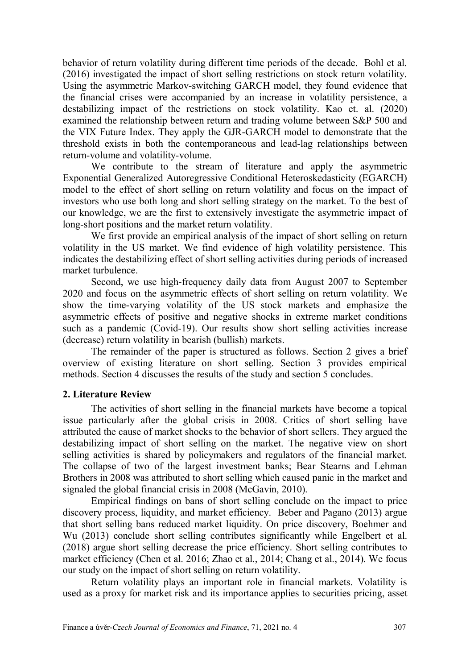behavior of return volatility during different time periods of the decade. Bohl et al. (2016) investigated the impact of short selling restrictions on stock return volatility. Using the asymmetric Markov-switching GARCH model, they found evidence that the financial crises were accompanied by an increase in volatility persistence, a destabilizing impact of the restrictions on stock volatility. Kao et. al. (2020) examined the relationship between return and trading volume between S&P 500 and the VIX Future Index. They apply the GJR-GARCH model to demonstrate that the threshold exists in both the contemporaneous and lead-lag relationships between return-volume and volatility-volume.

We contribute to the stream of literature and apply the asymmetric Exponential Generalized Autoregressive Conditional Heteroskedasticity (EGARCH) model to the effect of short selling on return volatility and focus on the impact of investors who use both long and short selling strategy on the market. To the best of our knowledge, we are the first to extensively investigate the asymmetric impact of long-short positions and the market return volatility.

We first provide an empirical analysis of the impact of short selling on return volatility in the US market. We find evidence of high volatility persistence. This indicates the destabilizing effect of short selling activities during periods of increased market turbulence.

Second, we use high-frequency daily data from August 2007 to September 2020 and focus on the asymmetric effects of short selling on return volatility. We show the time-varying volatility of the US stock markets and emphasize the asymmetric effects of positive and negative shocks in extreme market conditions such as a pandemic (Covid-19). Our results show short selling activities increase (decrease) return volatility in bearish (bullish) markets.

The remainder of the paper is structured as follows. Section 2 gives a brief overview of existing literature on short selling. Section 3 provides empirical methods. Section 4 discusses the results of the study and section 5 concludes.

#### **2. Literature Review**

The activities of short selling in the financial markets have become a topical issue particularly after the global crisis in 2008. Critics of short selling have attributed the cause of market shocks to the behavior of short sellers. They argued the destabilizing impact of short selling on the market. The negative view on short selling activities is shared by policymakers and regulators of the financial market. The collapse of two of the largest investment banks; Bear Stearns and Lehman Brothers in 2008 was attributed to short selling which caused panic in the market and signaled the global financial crisis in 2008 (McGavin, 2010).

Empirical findings on bans of short selling conclude on the impact to price discovery process, liquidity, and market efficiency. Beber and Pagano (2013) argue that short selling bans reduced market liquidity. On price discovery, Boehmer and Wu (2013) conclude short selling contributes significantly while Engelbert et al. (2018) argue short selling decrease the price efficiency. Short selling contributes to market efficiency (Chen et al. 2016; Zhao et al., 2014; Chang et al., 2014). We focus our study on the impact of short selling on return volatility.

Return volatility plays an important role in financial markets. Volatility is used as a proxy for market risk and its importance applies to securities pricing, asset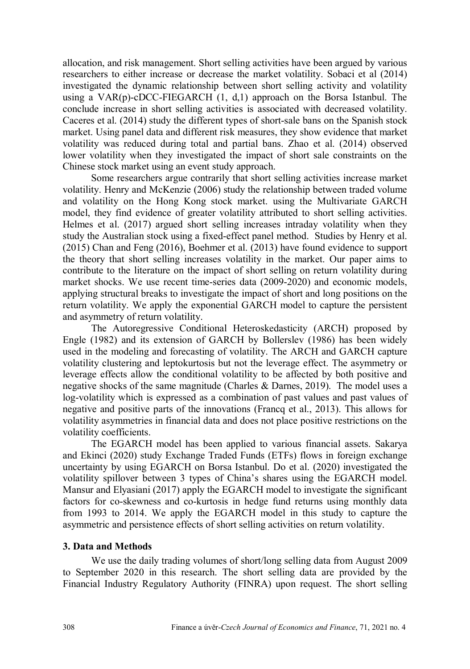allocation, and risk management. Short selling activities have been argued by various researchers to either increase or decrease the market volatility. Sobaci et al (2014) investigated the dynamic relationship between short selling activity and volatility using a  $VAR(p)$ -cDCC-FIEGARCH  $(1, d, 1)$  approach on the Borsa Istanbul. The conclude increase in short selling activities is associated with decreased volatility. Caceres et al. (2014) study the different types of short-sale bans on the Spanish stock market. Using panel data and different risk measures, they show evidence that market volatility was reduced during total and partial bans. Zhao et al. (2014) observed lower volatility when they investigated the impact of short sale constraints on the Chinese stock market using an event study approach.

Some researchers argue contrarily that short selling activities increase market volatility. Henry and McKenzie (2006) study the relationship between traded volume and volatility on the Hong Kong stock market. using the Multivariate GARCH model, they find evidence of greater volatility attributed to short selling activities. Helmes et al. (2017) argued short selling increases intraday volatility when they study the Australian stock using a fixed-effect panel method. Studies by Henry et al. (2015) Chan and Feng (2016), Boehmer et al. (2013) have found evidence to support the theory that short selling increases volatility in the market. Our paper aims to contribute to the literature on the impact of short selling on return volatility during market shocks. We use recent time-series data (2009-2020) and economic models, applying structural breaks to investigate the impact of short and long positions on the return volatility. We apply the exponential GARCH model to capture the persistent and asymmetry of return volatility.

The Autoregressive Conditional Heteroskedasticity (ARCH) proposed by Engle (1982) and its extension of GARCH by Bollerslev (1986) has been widely used in the modeling and forecasting of volatility. The ARCH and GARCH capture volatility clustering and leptokurtosis but not the leverage effect. The asymmetry or leverage effects allow the conditional volatility to be affected by both positive and negative shocks of the same magnitude (Charles & Darnes, 2019). The model uses a log-volatility which is expressed as a combination of past values and past values of negative and positive parts of the innovations (Francq et al., 2013). This allows for volatility asymmetries in financial data and does not place positive restrictions on the volatility coefficients.

The EGARCH model has been applied to various financial assets. Sakarya and Ekinci (2020) study Exchange Traded Funds (ETFs) flows in foreign exchange uncertainty by using EGARCH on Borsa Istanbul. Do et al. (2020) investigated the volatility spillover between 3 types of China's shares using the EGARCH model. Mansur and Elyasiani (2017) apply the EGARCH model to investigate the significant factors for co-skewness and co-kurtosis in hedge fund returns using monthly data from 1993 to 2014. We apply the EGARCH model in this study to capture the asymmetric and persistence effects of short selling activities on return volatility.

## **3. Data and Methods**

We use the daily trading volumes of short/long selling data from August 2009 to September 2020 in this research. The short selling data are provided by the Financial Industry Regulatory Authority (FINRA) upon request. The short selling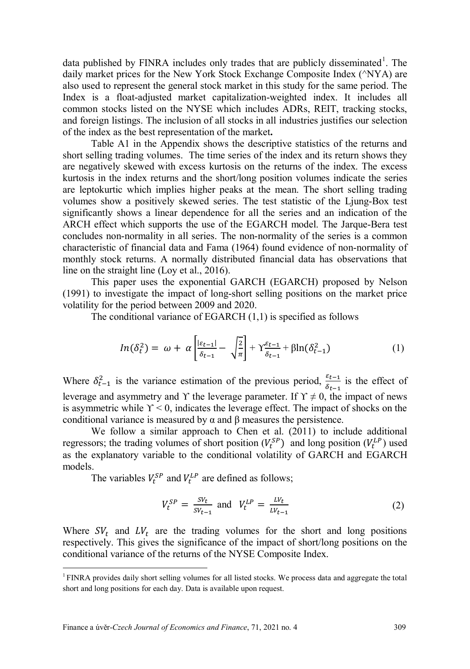data published by FINRA includes only trades that are publicly disseminated<sup>[1](#page-3-0)</sup>. The daily market prices for the New York Stock Exchange Composite Index (^NYA) are also used to represent the general stock market in this study for the same period. The Index is a float-adjusted market capitalization-weighted index. It includes all common stocks listed on the NYSE which includes ADRs, REIT, tracking stocks, and foreign listings. The inclusion of all stocks in all industries justifies our selection of the index as the best representation of the market**.**

Table A1 in the Appendix shows the descriptive statistics of the returns and short selling trading volumes. The time series of the index and its return shows they are negatively skewed with excess kurtosis on the returns of the index. The excess kurtosis in the index returns and the short/long position volumes indicate the series are leptokurtic which implies higher peaks at the mean. The short selling trading volumes show a positively skewed series. The test statistic of the Ljung-Box test significantly shows a linear dependence for all the series and an indication of the ARCH effect which supports the use of the EGARCH model. The Jarque-Bera test concludes non-normality in all series. The non-normality of the series is a common characteristic of financial data and Fama (1964) found evidence of non-normality of monthly stock returns. A normally distributed financial data has observations that line on the straight line (Loy et al., 2016).

This paper uses the exponential GARCH (EGARCH) proposed by Nelson (1991) to investigate the impact of long-short selling positions on the market price volatility for the period between 2009 and 2020.

The conditional variance of EGARCH (1,1) is specified as follows

$$
ln(\delta_t^2) = \omega + \alpha \left[ \frac{|\varepsilon_{t-1}|}{\delta_{t-1}} - \sqrt{\frac{2}{\pi}} \right] + \gamma \frac{\varepsilon_{t-1}}{\delta_{t-1}} + \beta ln(\delta_{t-1}^2)
$$
 (1)

Where  $\delta_{t-1}^2$  is the variance estimation of the previous period,  $\frac{\varepsilon_{t-1}}{\delta_{t-1}}$  is the effect of leverage and asymmetry and Y the leverage parameter. If  $Y \neq 0$ , the impact of news is asymmetric while  $\Upsilon$  < 0, indicates the leverage effect. The impact of shocks on the conditional variance is measured by α and β measures the persistence.

We follow a similar approach to Chen et al. (2011) to include additional regressors; the trading volumes of short position  $(V_t^{SP})$  and long position  $(V_t^{LP})$  used as the explanatory variable to the conditional volatility of GARCH and EGARCH models.

The variables  $V_t^{SP}$  and  $V_t^{LP}$  are defined as follows;

$$
V_t^{SP} = \frac{SV_t}{SV_{t-1}} \text{ and } V_t^{LP} = \frac{LV_t}{LV_{t-1}} \tag{2}
$$

Where  $SV_t$  and  $LV_t$  are the trading volumes for the short and long positions respectively. This gives the significance of the impact of short/long positions on the conditional variance of the returns of the NYSE Composite Index.

 $\ddot{\phantom{a}}$ 

<span id="page-3-0"></span> $1$  FINRA provides daily short selling volumes for all listed stocks. We process data and aggregate the total short and long positions for each day. Data is available upon request.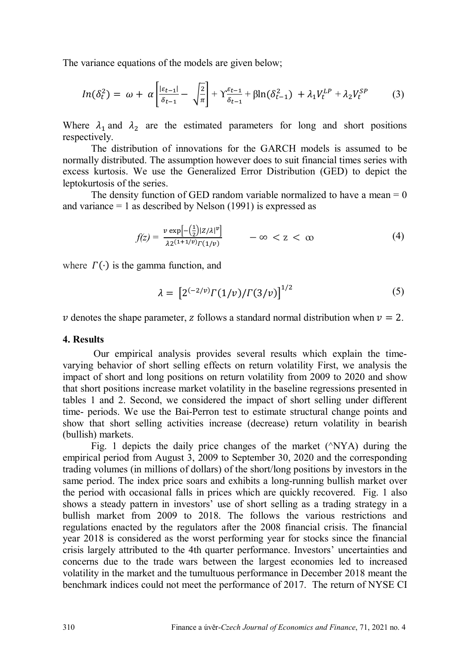The variance equations of the models are given below;

$$
ln(\delta_t^2) = \omega + \alpha \left[ \frac{|\varepsilon_{t-1}|}{\delta_{t-1}} - \sqrt{\frac{2}{\pi}} \right] + \Upsilon_{\delta_{t-1}}^{\varepsilon_{t-1}} + \beta ln(\delta_{t-1}^2) + \lambda_1 V_t^{LP} + \lambda_2 V_t^{SP} \tag{3}
$$

Where  $\lambda_1$  and  $\lambda_2$  are the estimated parameters for long and short positions respectively.

The distribution of innovations for the GARCH models is assumed to be normally distributed. The assumption however does to suit financial times series with excess kurtosis. We use the Generalized Error Distribution (GED) to depict the leptokurtosis of the series.

The density function of GED random variable normalized to have a mean  $= 0$ and variance  $= 1$  as described by Nelson (1991) is expressed as

$$
f(z) = \frac{v \exp\left[-\left(\frac{1}{2}\right)|z/\lambda|^{\nu}\right]}{\lambda z^{(1+1/\nu)} \Gamma(1/\nu)} \qquad -\infty < z < \infty \tag{4}
$$

where  $\Gamma(\cdot)$  is the gamma function, and

$$
\lambda = [2^{(-2/\nu)} \Gamma(1/\nu) / \Gamma(3/\nu)]^{1/2} \tag{5}
$$

 $\nu$  denotes the shape parameter, z follows a standard normal distribution when  $\nu = 2$ .

#### **4. Results**

Our empirical analysis provides several results which explain the timevarying behavior of short selling effects on return volatility First, we analysis the impact of short and long positions on return volatility from 2009 to 2020 and show that short positions increase market volatility in the baseline regressions presented in tables 1 and 2. Second, we considered the impact of short selling under different time- periods. We use the Bai-Perron test to estimate structural change points and show that short selling activities increase (decrease) return volatility in bearish (bullish) markets.

Fig. 1 depicts the daily price changes of the market  $(\triangle$ NYA) during the empirical period from August 3, 2009 to September 30, 2020 and the corresponding trading volumes (in millions of dollars) of the short/long positions by investors in the same period. The index price soars and exhibits a long-running bullish market over the period with occasional falls in prices which are quickly recovered. Fig. 1 also shows a steady pattern in investors' use of short selling as a trading strategy in a bullish market from 2009 to 2018. The follows the various restrictions and regulations enacted by the regulators after the 2008 financial crisis. The financial year 2018 is considered as the worst performing year for stocks since the financial crisis largely attributed to the 4th quarter performance. Investors' uncertainties and concerns due to the trade wars between the largest economies led to increased volatility in the market and the tumultuous performance in December 2018 meant the benchmark indices could not meet the performance of 2017. The return of NYSE CI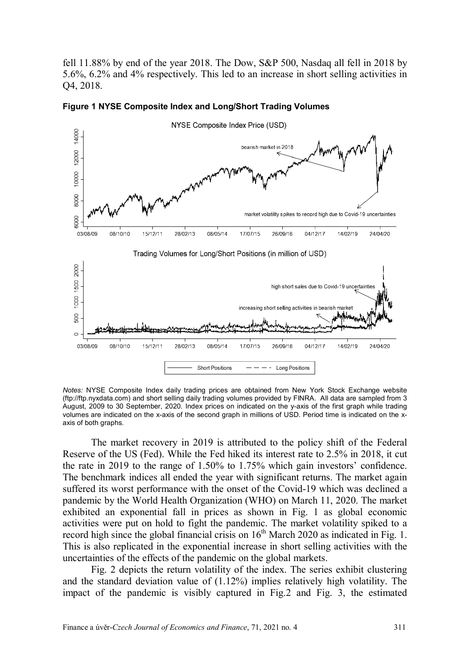fell 11.88% by end of the year 2018. The Dow, S&P 500, Nasdaq all fell in 2018 by 5.6%, 6.2% and 4% respectively. This led to an increase in short selling activities in Q4, 2018.



**Figure 1 NYSE Composite Index and Long/Short Trading Volumes**

*Notes:* NYSE Composite Index daily trading prices are obtained from New York Stock Exchange website [\(ftp://ftp.nyxdata.com\)](ftp://ftp.nyxdata.com/) and short selling daily trading volumes provided by FINRA. All data are sampled from 3 August, 2009 to 30 September, 2020. Index prices on indicated on the y-axis of the first graph while trading volumes are indicated on the x-axis of the second graph in millions of USD. Period time is indicated on the xaxis of both graphs.

The market recovery in 2019 is attributed to the policy shift of the Federal Reserve of the US (Fed). While the Fed hiked its interest rate to 2.5% in 2018, it cut the rate in 2019 to the range of 1.50% to 1.75% which gain investors' confidence. The benchmark indices all ended the year with significant returns. The market again suffered its worst performance with the onset of the Covid-19 which was declined a pandemic by the World Health Organization (WHO) on March 11, 2020. The market exhibited an exponential fall in prices as shown in Fig. 1 as global economic activities were put on hold to fight the pandemic. The market volatility spiked to a record high since the global financial crisis on  $16<sup>th</sup>$  March 2020 as indicated in Fig. 1. This is also replicated in the exponential increase in short selling activities with the uncertainties of the effects of the pandemic on the global markets.

Fig. 2 depicts the return volatility of the index. The series exhibit clustering and the standard deviation value of (1.12%) implies relatively high volatility. The impact of the pandemic is visibly captured in Fig.2 and Fig. 3, the estimated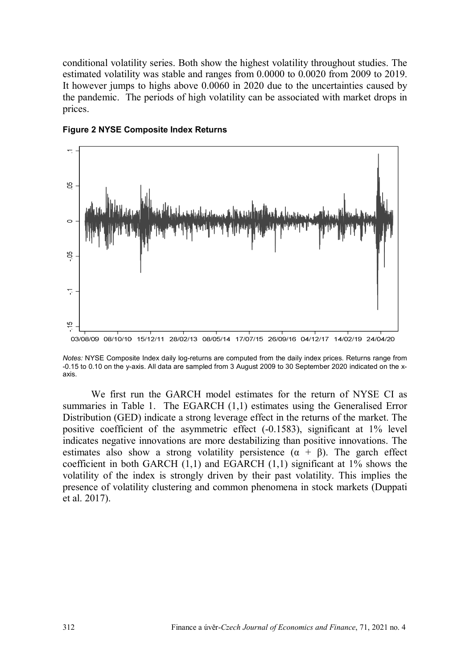conditional volatility series. Both show the highest volatility throughout studies. The estimated volatility was stable and ranges from 0.0000 to 0.0020 from 2009 to 2019. It however jumps to highs above 0.0060 in 2020 due to the uncertainties caused by the pandemic. The periods of high volatility can be associated with market drops in prices.



#### **Figure 2 NYSE Composite Index Returns**

*Notes:* NYSE Composite Index daily log-returns are computed from the daily index prices. Returns range from -0.15 to 0.10 on the y-axis. All data are sampled from 3 August 2009 to 30 September 2020 indicated on the xaxis.

We first run the GARCH model estimates for the return of NYSE CI as summaries in Table 1. The EGARCH (1,1) estimates using the Generalised Error Distribution (GED) indicate a strong leverage effect in the returns of the market. The positive coefficient of the asymmetric effect (-0.1583), significant at 1% level indicates negative innovations are more destabilizing than positive innovations. The estimates also show a strong volatility persistence  $(\alpha + \beta)$ . The garch effect coefficient in both GARCH  $(1,1)$  and EGARCH  $(1,1)$  significant at  $1\%$  shows the volatility of the index is strongly driven by their past volatility. This implies the presence of volatility clustering and common phenomena in stock markets (Duppati et al. 2017).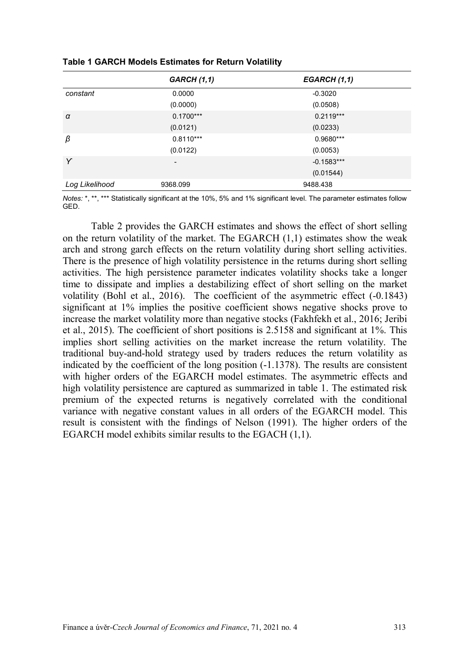|                | <b>GARCH (1,1)</b> | EGARCH (1,1) |
|----------------|--------------------|--------------|
| constant       | 0.0000             | $-0.3020$    |
|                | (0.0000)           | (0.0508)     |
| $\alpha$       | $0.1700***$        | $0.2119***$  |
|                | (0.0121)           | (0.0233)     |
| β              | $0.8110***$        | 0.9680***    |
|                | (0.0122)           | (0.0053)     |
| Y              | -                  | $-0.1583***$ |
|                |                    | (0.01544)    |
| Log Likelihood | 9368.099           | 9488.438     |

**Table 1 GARCH Models Estimates for Return Volatility**

*Notes:* \*, \*\*, \*\*\* Statistically significant at the 10%, 5% and 1% significant level. The parameter estimates follow GED.

Table 2 provides the GARCH estimates and shows the effect of short selling on the return volatility of the market. The EGARCH  $(1,1)$  estimates show the weak arch and strong garch effects on the return volatility during short selling activities. There is the presence of high volatility persistence in the returns during short selling activities. The high persistence parameter indicates volatility shocks take a longer time to dissipate and implies a destabilizing effect of short selling on the market volatility (Bohl et al., 2016). The coefficient of the asymmetric effect (-0.1843) significant at 1% implies the positive coefficient shows negative shocks prove to increase the market volatility more than negative stocks (Fakhfekh et al., 2016; Jeribi et al., 2015). The coefficient of short positions is 2.5158 and significant at 1%. This implies short selling activities on the market increase the return volatility. The traditional buy-and-hold strategy used by traders reduces the return volatility as indicated by the coefficient of the long position (-1.1378). The results are consistent with higher orders of the EGARCH model estimates. The asymmetric effects and high volatility persistence are captured as summarized in table 1. The estimated risk premium of the expected returns is negatively correlated with the conditional variance with negative constant values in all orders of the EGARCH model. This result is consistent with the findings of Nelson (1991). The higher orders of the EGARCH model exhibits similar results to the EGACH (1,1).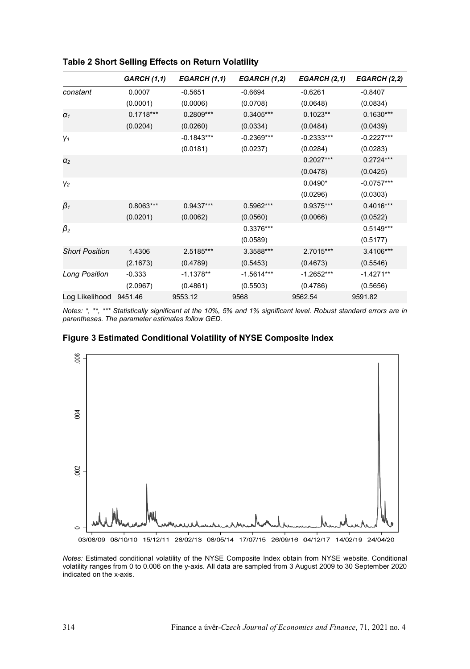|                       | <b>GARCH (1,1)</b> | EGARCH (1,1) | EGARCH (1,2) | EGARCH (2,1) | EGARCH (2,2) |
|-----------------------|--------------------|--------------|--------------|--------------|--------------|
| constant              | 0.0007             | $-0.5651$    | $-0.6694$    | $-0.6261$    | $-0.8407$    |
|                       | (0.0001)           | (0.0006)     | (0.0708)     | (0.0648)     | (0.0834)     |
| $\alpha_1$            | $0.1718***$        | $0.2809***$  | $0.3405***$  | $0.1023**$   | $0.1630***$  |
|                       | (0.0204)           | (0.0260)     | (0.0334)     | (0.0484)     | (0.0439)     |
| Y1                    |                    | $-0.1843***$ | $-0.2369***$ | $-0.2333***$ | $-0.2227***$ |
|                       |                    | (0.0181)     | (0.0237)     | (0.0284)     | (0.0283)     |
| $\alpha_2$            |                    |              |              | $0.2027***$  | $0.2724***$  |
|                       |                    |              |              | (0.0478)     | (0.0425)     |
| V <sub>2</sub>        |                    |              |              | $0.0490*$    | $-0.0757***$ |
|                       |                    |              |              | (0.0296)     | (0.0303)     |
| $\beta_1$             | $0.8063***$        | $0.9437***$  | $0.5962***$  | 0.9375***    | $0.4016***$  |
|                       | (0.0201)           | (0.0062)     | (0.0560)     | (0.0066)     | (0.0522)     |
| $\beta_2$             |                    |              | 0.3376***    |              | $0.5149***$  |
|                       |                    |              | (0.0589)     |              | (0.5177)     |
| <b>Short Position</b> | 1.4306             | 2.5185***    | 3.3588***    | 2.7015***    | 3.4106***    |
|                       | (2.1673)           | (0.4789)     | (0.5453)     | (0.4673)     | (0.5546)     |
| <b>Long Position</b>  | $-0.333$           | $-1.1378**$  | $-1.5614***$ | $-1.2652***$ | $-1.4271**$  |
|                       | (2.0967)           | (0.4861)     | (0.5503)     | (0.4786)     | (0.5656)     |
| Log Likelihood        | 9451.46            | 9553.12      | 9568         | 9562.54      | 9591.82      |

**Table 2 Short Selling Effects on Return Volatility**

*Notes: \*, \*\*, \*\*\* Statistically significant at the 10%, 5% and 1% significant level. Robust standard errors are in parentheses. The parameter estimates follow GED.*

#### **Figure 3 Estimated Conditional Volatility of NYSE Composite Index**



*Notes:* Estimated conditional volatility of the NYSE Composite Index obtain from NYSE website. Conditional volatility ranges from 0 to 0.006 on the y-axis. All data are sampled from 3 August 2009 to 30 September 2020 indicated on the x-axis.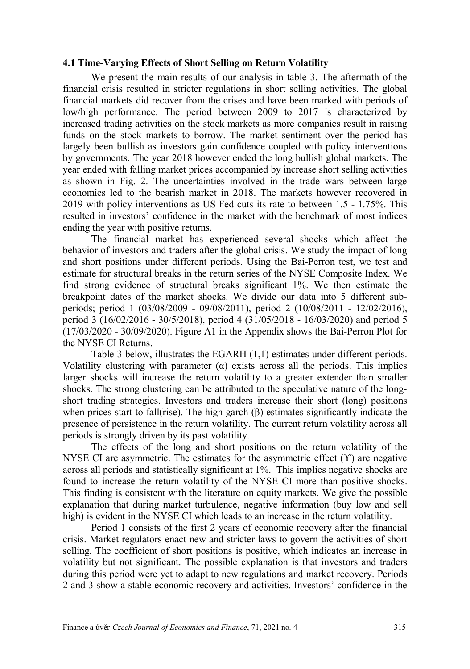#### **4.1 Time-Varying Effects of Short Selling on Return Volatility**

We present the main results of our analysis in table 3. The aftermath of the financial crisis resulted in stricter regulations in short selling activities. The global financial markets did recover from the crises and have been marked with periods of low/high performance. The period between 2009 to 2017 is characterized by increased trading activities on the stock markets as more companies result in raising funds on the stock markets to borrow. The market sentiment over the period has largely been bullish as investors gain confidence coupled with policy interventions by governments. The year 2018 however ended the long bullish global markets. The year ended with falling market prices accompanied by increase short selling activities as shown in Fig. 2. The uncertainties involved in the trade wars between large economies led to the bearish market in 2018. The markets however recovered in 2019 with policy interventions as US Fed cuts its rate to between 1.5 - 1.75%. This resulted in investors' confidence in the market with the benchmark of most indices ending the year with positive returns.

The financial market has experienced several shocks which affect the behavior of investors and traders after the global crisis. We study the impact of long and short positions under different periods. Using the Bai-Perron test, we test and estimate for structural breaks in the return series of the NYSE Composite Index. We find strong evidence of structural breaks significant 1%. We then estimate the breakpoint dates of the market shocks. We divide our data into 5 different subperiods; period 1 (03/08/2009 - 09/08/2011), period 2 (10/08/2011 - 12/02/2016), period 3 (16/02/2016 - 30/5/2018), period 4 (31/05/2018 - 16/03/2020) and period 5 (17/03/2020 - 30/09/2020). Figure A1 in the Appendix shows the Bai-Perron Plot for the NYSE CI Returns.

Table 3 below, illustrates the EGARH (1,1) estimates under different periods. Volatility clustering with parameter  $(\alpha)$  exists across all the periods. This implies larger shocks will increase the return volatility to a greater extender than smaller shocks. The strong clustering can be attributed to the speculative nature of the longshort trading strategies. Investors and traders increase their short (long) positions when prices start to fall(rise). The high garch  $(\beta)$  estimates significantly indicate the presence of persistence in the return volatility. The current return volatility across all periods is strongly driven by its past volatility.

The effects of the long and short positions on the return volatility of the NYSE CI are asymmetric. The estimates for the asymmetric effect  $(Y)$  are negative across all periods and statistically significant at 1%. This implies negative shocks are found to increase the return volatility of the NYSE CI more than positive shocks. This finding is consistent with the literature on equity markets. We give the possible explanation that during market turbulence, negative information (buy low and sell high) is evident in the NYSE CI which leads to an increase in the return volatility.

Period 1 consists of the first 2 years of economic recovery after the financial crisis. Market regulators enact new and stricter laws to govern the activities of short selling. The coefficient of short positions is positive, which indicates an increase in volatility but not significant. The possible explanation is that investors and traders during this period were yet to adapt to new regulations and market recovery. Periods 2 and 3 show a stable economic recovery and activities. Investors' confidence in the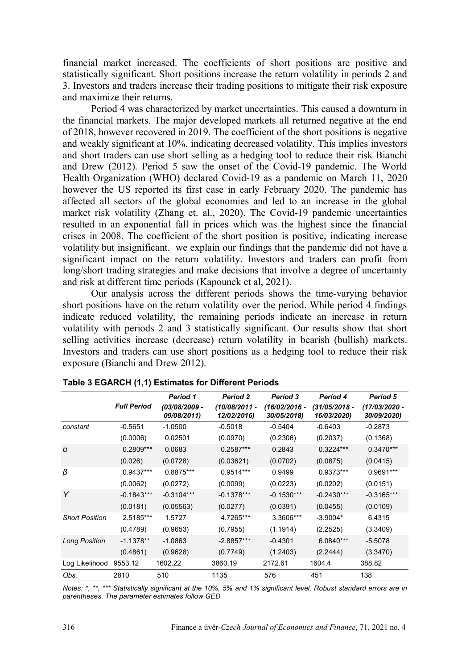financial market increased. The coefficients of short positions are positive and statistically significant. Short positions increase the return volatility in periods 2 and 3. Investors and traders increase their trading positions to mitigate their risk exposure and maximize their returns.

Period 4 was characterized by market uncertainties. This caused a downturn in the financial markets. The major developed markets all returned negative at the end of 2018, however recovered in 2019. The coefficient of the short positions is negative and weakly significant at 10%, indicating decreased volatility. This implies investors and short traders can use short selling as a hedging tool to reduce their risk Bianchi and Drew (2012). Period 5 saw the onset of the Covid-19 pandemic. The World Health Organization (WHO) declared Covid-19 as a pandemic on March 11, 2020 however the US reported its first case in early February 2020. The pandemic has affected all sectors of the global economies and led to an increase in the global market risk volatility (Zhang et. al., 2020). The Covid-19 pandemic uncertainties resulted in an exponential fall in prices which was the highest since the financial crises in 2008. The coefficient of the short position is positive, indicating increase volatility but insignificant. we explain our findings that the pandemic did not have a significant impact on the return volatility. Investors and traders can profit from long/short trading strategies and make decisions that involve a degree of uncertainty and risk at different time periods (Kapounek et al, 2021).

Our analysis across the different periods shows the time-varying behavior short positions have on the return volatility over the period. While period 4 findings indicate reduced volatility, the remaining periods indicate an increase in return volatility with periods 2 and 3 statistically significant. Our results show that short selling activities increase (decrease) return volatility in bearish (bullish) markets. Investors and traders can use short positions as a hedging tool to reduce their risk exposure (Bianchi and Drew 2012).

|                       |                    | Period 1                     | <b>Period 2</b>                | Period 3                       | Period 4                       | Period 5                     |
|-----------------------|--------------------|------------------------------|--------------------------------|--------------------------------|--------------------------------|------------------------------|
|                       | <b>Full Period</b> | (03/08/2009 -<br>09/08/2011) | $(10/08/2011 -$<br>12/02/2016) | $(16/02/2016 -$<br>30/05/2018) | $(31/05/2018 -$<br>16/03/2020) | (17/03/2020 -<br>30/09/2020) |
| constant              | $-0.5651$          | $-1.0500$                    | $-0.5018$                      | $-0.5404$                      | $-0.6403$                      | $-0.2873$                    |
|                       | (0.0006)           | 0.02501                      | (0.0970)                       | (0.2306)                       | (0.2037)                       | (0.1368)                     |
| α                     | $0.2809***$        | 0.0683                       | $0.2587***$                    | 0.2843                         | $0.3224***$                    | $0.3470***$                  |
|                       | (0.026)            | (0.0728)                     | (0.03621)                      | (0.0702)                       | (0.0875)                       | (0.0415)                     |
| β                     | $0.9437***$        | 0.8875***                    | $0.9514***$                    | 0.9499                         | 0.9373***                      | 0.9691***                    |
|                       | (0.0062)           | (0.0272)                     | (0.0099)                       | (0.0223)                       | (0.0202)                       | (0.0151)                     |
| Y                     | $-0.1843***$       | $-0.3104***$                 | $-0.1378***$                   | $-0.1530***$                   | $-0.2430***$                   | $-0.3165***$                 |
|                       | (0.0181)           | (0.05563)                    | (0.0277)                       | (0.0391)                       | (0.0455)                       | (0.0109)                     |
| <b>Short Position</b> | 2.5185***          | 1.5727                       | 4.7265***                      | 3.3606***                      | $-3.9004*$                     | 6.4315                       |
|                       | (0.4789)           | (0.9653)                     | (0.7955)                       | (1.1914)                       | (2.2525)                       | (3.3409)                     |
| <b>Long Position</b>  | $-1.1378**$        | $-1.0863$                    | $-2.8857***$                   | $-0.4301$                      | $6.0840***$                    | $-5.5078$                    |
|                       | (0.4861)           | (0.9628)                     | (0.7749)                       | (1.2403)                       | (2.2444)                       | (3.3470)                     |
| Log Likelihood        | 9553.12            | 1602.22                      | 3860.19                        | 2172.61                        | 1604.4                         | 388.82                       |
| Obs.                  | 2810               | 510                          | 1135                           | 576                            | 451                            | 138                          |

*Notes: \*, \*\*, \*\*\* Statistically significant at the 10%, 5% and 1% significant level. Robust standard errors are in parentheses. The parameter estimates follow GED*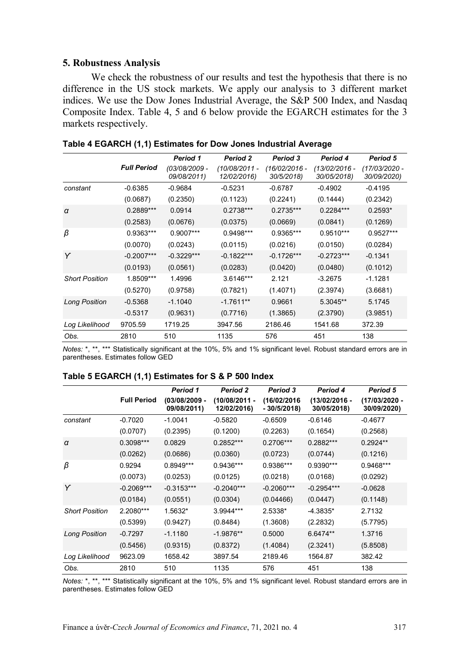### **5. Robustness Analysis**

We check the robustness of our results and test the hypothesis that there is no difference in the US stock markets. We apply our analysis to 3 different market indices. We use the Dow Jones Industrial Average, the S&P 500 Index, and Nasdaq Composite Index. Table 4, 5 and 6 below provide the EGARCH estimates for the 3 markets respectively.

|                       | <b>Full Period</b> | Period 1<br>(03/08/2009 -<br>09/08/2011) | <b>Period 2</b><br>(10/08/2011 -<br>12/02/2016) | <b>Period 3</b><br>$(16/02/2016 -$<br>30/5/2018) | Period 4<br>(13/02/2016 -<br>30/05/2018) | Period 5<br>(17/03/2020 -<br>30/09/2020) |
|-----------------------|--------------------|------------------------------------------|-------------------------------------------------|--------------------------------------------------|------------------------------------------|------------------------------------------|
| constant              | $-0.6385$          | $-0.9684$                                | $-0.5231$                                       | $-0.6787$                                        | $-0.4902$                                | $-0.4195$                                |
|                       | (0.0687)           | (0.2350)                                 | (0.1123)                                        | (0.2241)                                         | (0.1444)                                 | (0.2342)                                 |
| $\alpha$              | $0.2889***$        | 0.0914                                   | $0.2738***$                                     | $0.2735***$                                      | $0.2284***$                              | $0.2593*$                                |
|                       | (0.2583)           | (0.0676)                                 | (0.0375)                                        | (0.0669)                                         | (0.0841)                                 | (0.1269)                                 |
| β                     | 0.9363***          | 0.9007***                                | 0.9498***                                       | 0.9365***                                        | $0.9510***$                              | $0.9527***$                              |
|                       | (0.0070)           | (0.0243)                                 | (0.0115)                                        | (0.0216)                                         | (0.0150)                                 | (0.0284)                                 |
| Y                     | $-0.2007***$       | $-0.3229***$                             | $-0.1822***$                                    | $-0.1726***$                                     | $-0.2723***$                             | $-0.1341$                                |
|                       | (0.0193)           | (0.0561)                                 | (0.0283)                                        | (0.0420)                                         | (0.0480)                                 | (0.1012)                                 |
| <b>Short Position</b> | 1.8509***          | 1.4996                                   | $3.6146***$                                     | 2.121                                            | $-3.2675$                                | $-1.1281$                                |
|                       | (0.5270)           | (0.9758)                                 | (0.7821)                                        | (1.4071)                                         | (2.3974)                                 | (3.6681)                                 |
| <b>Long Position</b>  | $-0.5368$          | $-1.1040$                                | $-1.7611**$                                     | 0.9661                                           | 5.3045**                                 | 5.1745                                   |
|                       | $-0.5317$          | (0.9631)                                 | (0.7716)                                        | (1.3865)                                         | (2.3790)                                 | (3.9851)                                 |
| Log Likelihood        | 9705.59            | 1719.25                                  | 3947.56                                         | 2186.46                                          | 1541.68                                  | 372.39                                   |
| Obs.                  | 2810               | 510                                      | 1135                                            | 576                                              | 451                                      | 138                                      |

*Notes:* \*, \*\*, \*\*\* Statistically significant at the 10%, 5% and 1% significant level. Robust standard errors are in parentheses. Estimates follow GED

| Table 5 EGARCH (1,1) Estimates for S & P 500 Index |  |  |  |  |
|----------------------------------------------------|--|--|--|--|
|----------------------------------------------------|--|--|--|--|

|                       |                    | Period 1                       | <b>Period 2</b>              | <b>Period 3</b>              | Period 4                     | Period 5                     |
|-----------------------|--------------------|--------------------------------|------------------------------|------------------------------|------------------------------|------------------------------|
|                       | <b>Full Period</b> | $(03/08/2009 -$<br>09/08/2011) | (10/08/2011 -<br>12/02/2016) | (16/02/2016)<br>$-30/5/2018$ | (13/02/2016 -<br>30/05/2018) | (17/03/2020 -<br>30/09/2020) |
| constant              | $-0.7020$          | $-1.0041$                      | $-0.5820$                    | $-0.6509$                    | $-0.6146$                    | $-0.4677$                    |
|                       | (0.0707)           | (0.2395)                       | (0.1200)                     | (0.2263)                     | (0.1654)                     | (0.2568)                     |
| $\alpha$              | 0.3098***          | 0.0829                         | $0.2852***$                  | $0.2706***$                  | $0.2882***$                  | $0.2924**$                   |
|                       | (0.0262)           | (0.0686)                       | (0.0360)                     | (0.0723)                     | (0.0744)                     | (0.1216)                     |
| β                     | 0.9294             | 0.8949***                      | $0.9436***$                  | 0.9386***                    | $0.9390***$                  | $0.9468***$                  |
|                       | (0.0073)           | (0.0253)                       | (0.0125)                     | (0.0218)                     | (0.0168)                     | (0.0292)                     |
| Y                     | $-0.2069***$       | $-0.3153***$                   | $-0.2040***$                 | $-0.2060***$                 | $-0.2954***$                 | $-0.0628$                    |
|                       | (0.0184)           | (0.0551)                       | (0.0304)                     | (0.04466)                    | (0.0447)                     | (0.1148)                     |
| <b>Short Position</b> | 2.2080***          | 1.5632*                        | 3.9944***                    | 2.5338*                      | $-4.3835*$                   | 2.7132                       |
|                       | (0.5399)           | (0.9427)                       | (0.8484)                     | (1.3608)                     | (2.2832)                     | (5.7795)                     |
| <b>Long Position</b>  | $-0.7297$          | $-1.1180$                      | $-1.9876**$                  | 0.5000                       | 6.6474**                     | 1.3716                       |
|                       | (0.5456)           | (0.9315)                       | (0.8372)                     | (1.4084)                     | (2.3241)                     | (5.8508)                     |
| Log Likelihood        | 9623.09            | 1658.42                        | 3897.54                      | 2189.46                      | 1564.87                      | 382.42                       |
| Obs.                  | 2810               | 510                            | 1135                         | 576                          | 451                          | 138                          |

*Notes:* \*, \*\*, \*\*\* Statistically significant at the 10%, 5% and 1% significant level. Robust standard errors are in parentheses. Estimates follow GED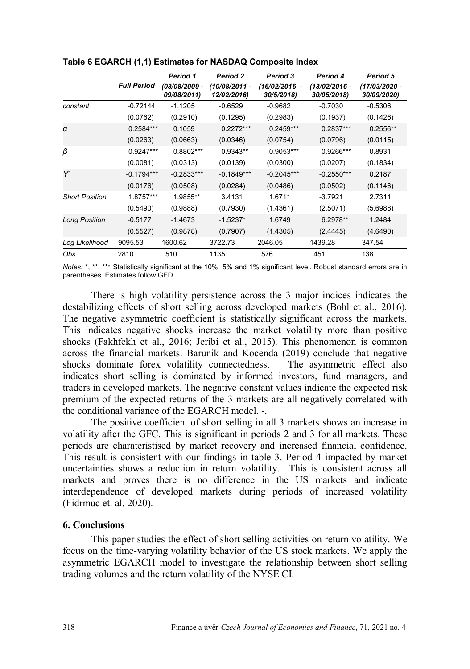|                       |                    | Period 1                     | <b>Period 2</b>                | Period 3                      | Period 4                       | Period 5                     |
|-----------------------|--------------------|------------------------------|--------------------------------|-------------------------------|--------------------------------|------------------------------|
|                       | <b>Full Period</b> | (03/08/2009 -<br>09/08/2011) | $(10/08/2011 -$<br>12/02/2016) | $(16/02/2016 -$<br>30/5/2018) | $(13/02/2016 -$<br>30/05/2018) | (17/03/2020 -<br>30/09/2020) |
| constant              | $-0.72144$         | $-1.1205$                    | $-0.6529$                      | $-0.9682$                     | $-0.7030$                      | $-0.5306$                    |
|                       | (0.0762)           | (0.2910)                     | (0.1295)                       | (0.2983)                      | (0.1937)                       | (0.1426)                     |
| $\alpha$              | $0.2584***$        | 0.1059                       | $0.2272***$                    | $0.2459***$                   | $0.2837***$                    | $0.2556**$                   |
|                       | (0.0263)           | (0.0663)                     | (0.0346)                       | (0.0754)                      | (0.0796)                       | (0.0115)                     |
| β                     | $0.9247***$        | $0.8802***$                  | $0.9343**$                     | 0.9053***                     | 0.9266***                      | 0.8931                       |
|                       | (0.0081)           | (0.0313)                     | (0.0139)                       | (0.0300)                      | (0.0207)                       | (0.1834)                     |
| Y                     | $-0.1794***$       | $-0.2833***$                 | $-0.1849***$                   | $-0.2045***$                  | $-0.2550***$                   | 0.2187                       |
|                       | (0.0176)           | (0.0508)                     | (0.0284)                       | (0.0486)                      | (0.0502)                       | (0.1146)                     |
| <b>Short Position</b> | 1.8757***          | 1.9855**                     | 3.4131                         | 1.6711                        | $-3.7921$                      | 2.7311                       |
|                       | (0.5490)           | (0.9888)                     | (0.7930)                       | (1.4361)                      | (2.5071)                       | (5.6988)                     |
| <b>Long Position</b>  | $-0.5177$          | $-1.4673$                    | $-1.5237*$                     | 1.6749                        | 6.2978**                       | 1.2484                       |
|                       | (0.5527)           | (0.9878)                     | (0.7907)                       | (1.4305)                      | (2.4445)                       | (4.6490)                     |
| Log Likelihood        | 9095.53            | 1600.62                      | 3722.73                        | 2046.05                       | 1439.28                        | 347.54                       |
| Obs.                  | 2810               | 510                          | 1135                           | 576                           | 451                            | 138                          |

#### **Table 6 EGARCH (1,1) Estimates for NASDAQ Composite Index**

*Notes:* \*, \*\*, \*\*\* Statistically significant at the 10%, 5% and 1% significant level. Robust standard errors are in parentheses. Estimates follow GED.

There is high volatility persistence across the 3 major indices indicates the destabilizing effects of short selling across developed markets (Bohl et al., 2016). The negative asymmetric coefficient is statistically significant across the markets. This indicates negative shocks increase the market volatility more than positive shocks (Fakhfekh et al., 2016; Jeribi et al., 2015). This phenomenon is common across the financial markets. Barunik and Kocenda (2019) conclude that negative shocks dominate forex volatility connectedness. The asymmetric effect also indicates short selling is dominated by informed investors, fund managers, and traders in developed markets. The negative constant values indicate the expected risk premium of the expected returns of the 3 markets are all negatively correlated with the conditional variance of the EGARCH model -

The positive coefficient of short selling in all 3 markets shows an increase in volatility after the GFC. This is significant in periods 2 and 3 for all markets. These periods are charateristised by market recovery and increased financial confidence. This result is consistent with our findings in table 3. Period 4 impacted by market uncertainties shows a reduction in return volatility. This is consistent across all markets and proves there is no difference in the US markets and indicate interdependence of developed markets during periods of increased volatility (Fidrmuc et. al. 2020).

#### **6. Conclusions**

This paper studies the effect of short selling activities on return volatility. We focus on the time-varying volatility behavior of the US stock markets. We apply the asymmetric EGARCH model to investigate the relationship between short selling trading volumes and the return volatility of the NYSE CI.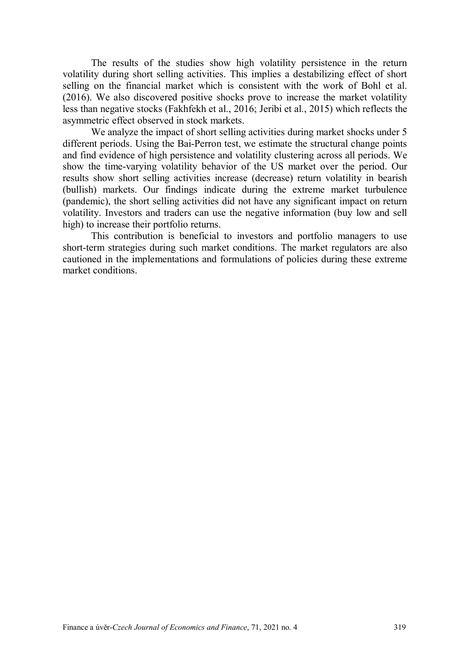The results of the studies show high volatility persistence in the return volatility during short selling activities. This implies a destabilizing effect of short selling on the financial market which is consistent with the work of Bohl et al. (2016). We also discovered positive shocks prove to increase the market volatility less than negative stocks (Fakhfekh et al., 2016; Jeribi et al., 2015) which reflects the asymmetric effect observed in stock markets.

We analyze the impact of short selling activities during market shocks under 5 different periods. Using the Bai-Perron test, we estimate the structural change points and find evidence of high persistence and volatility clustering across all periods. We show the time-varying volatility behavior of the US market over the period. Our results show short selling activities increase (decrease) return volatility in bearish (bullish) markets. Our findings indicate during the extreme market turbulence (pandemic), the short selling activities did not have any significant impact on return volatility. Investors and traders can use the negative information (buy low and sell high) to increase their portfolio returns.

This contribution is beneficial to investors and portfolio managers to use short-term strategies during such market conditions. The market regulators are also cautioned in the implementations and formulations of policies during these extreme market conditions.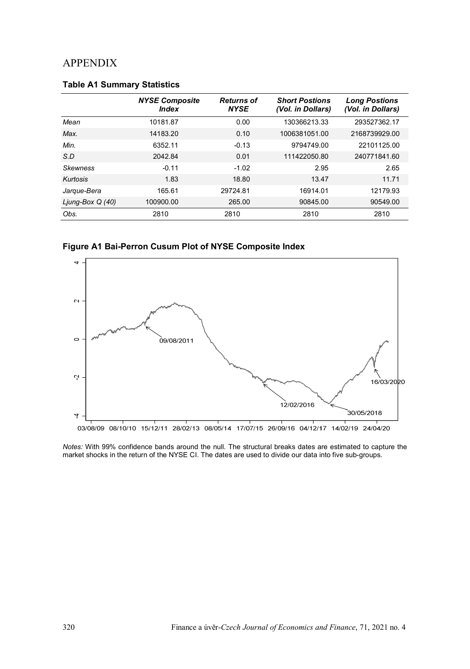# APPENDIX

|                   | <b>NYSE Composite</b><br>Index | <b>Returns of</b><br><b>NYSE</b> | <b>Short Postions</b><br>(Vol. in Dollars) | <b>Long Postions</b><br>(Vol. in Dollars) |
|-------------------|--------------------------------|----------------------------------|--------------------------------------------|-------------------------------------------|
| Mean              | 10181.87                       | 0.00                             | 130366213.33                               | 293527362.17                              |
| Max.              | 14183.20                       | 0.10                             | 1006381051.00                              | 2168739929.00                             |
| Min.              | 6352.11                        | $-0.13$                          | 9794749.00                                 | 22101125.00                               |
| S.D               | 2042.84                        | 0.01                             | 111422050.80                               | 240771841.60                              |
| <b>Skewness</b>   | $-0.11$                        | $-1.02$                          | 2.95                                       | 2.65                                      |
| Kurtosis          | 1.83                           | 18.80                            | 13.47                                      | 11.71                                     |
| Jarque-Bera       | 165.61                         | 29724.81                         | 16914.01                                   | 12179.93                                  |
| Ljung-Box $Q(40)$ | 100900.00                      | 265.00                           | 90845.00                                   | 90549.00                                  |
| Obs.              | 2810                           | 2810                             | 2810                                       | 2810                                      |

## **Table A1 Summary Statistics**

**Figure A1 Bai-Perron Cusum Plot of NYSE Composite Index**



*Notes:* With 99% confidence bands around the null. The structural breaks dates are estimated to capture the market shocks in the return of the NYSE CI. The dates are used to divide our data into five sub-groups.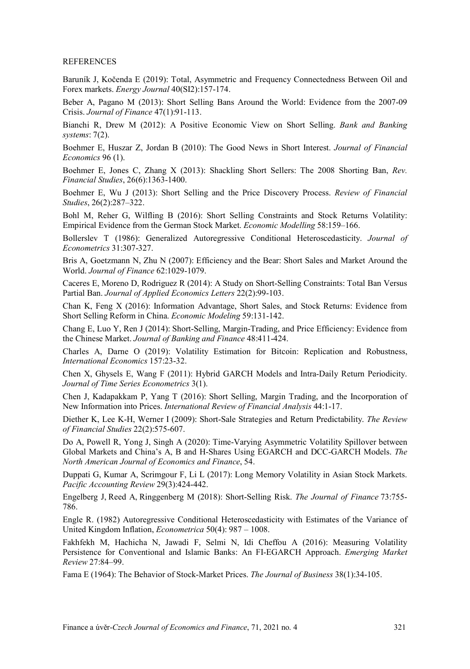#### **REFERENCES**

Baruník J, Kočenda E (2019): Total, Asymmetric and Frequency Connectedness Between Oil and Forex markets. *Energy Journal* 40(SI2):157-174.

Beber A, Pagano M (2013): Short Selling Bans Around the World: Evidence from the 2007-09 Crisis. *Journal of Finance* 47(1):91-113.

Bianchi R, Drew M (2012): A Positive Economic View on Short Selling. *Bank and Banking systems*: 7(2).

Boehmer E, Huszar Z, Jordan B (2010): The Good News in Short Interest. *Journal of Financial Economics* 96 (1).

Boehmer E, Jones C, Zhang X (2013): Shackling Short Sellers: The 2008 Shorting Ban, *Rev. Financial Studies*, 26(6):1363-1400.

Boehmer E, Wu J (2013): Short Selling and the Price Discovery Process. *Review of Financial Studies*, 26(2):287–322.

Bohl M, Reher G, Wilfling B (2016): Short Selling Constraints and Stock Returns Volatility: Empirical Evidence from the German Stock Market. *Economic Modelling* 58:159–166.

Bollerslev T (1986): Generalized Autoregressive Conditional Heteroscedasticity. *Journal of Econometrics* 31:307-327.

Bris A, Goetzmann N, Zhu N (2007): Efficiency and the Bear: Short Sales and Market Around the World. *Journal of Finance* 62:1029-1079.

Caceres E, Moreno D, Rodriguez R (2014): A Study on Short-Selling Constraints: Total Ban Versus Partial Ban. *Journal of Applied Economics Letters* 22(2):99-103.

Chan K, Feng X (2016): Information Advantage, Short Sales, and Stock Returns: Evidence from Short Selling Reform in China. *Economic Modeling* 59:131-142.

Chang E, Luo Y, Ren J (2014): Short-Selling, Margin-Trading, and Price Efficiency: Evidence from the Chinese Market. *Journal of Banking and Finance* 48:411-424.

Charles A, Darne O (2019): Volatility Estimation for Bitcoin: Replication and Robustness, *International Economics* 157:23-32.

Chen X, Ghysels E, Wang F (2011): Hybrid GARCH Models and Intra-Daily Return Periodicity. *Journal of Time Series Econometrics* 3(1).

Chen J, Kadapakkam P, Yang T (2016): Short Selling, Margin Trading, and the Incorporation of New Information into Prices. *International Review of Financial Analysis* 44:1-17.

Diether K, Lee K-H, Werner I (2009): Short-Sale Strategies and Return Predictability. *The Review of Financial Studies* 22(2):575-607.

Do A, Powell R, Yong J, Singh A (2020): Time-Varying Asymmetric Volatility Spillover between Global Markets and China's A, B and H-Shares Using EGARCH and DCC-GARCH Models. *The North American Journal of Economics and Finance*, 54.

Duppati G, Kumar A, Scrimgour F, Li L (2017): Long Memory Volatility in Asian Stock Markets. *Pacific Accounting Review* 29(3):424-442.

Engelberg J, Reed A, Ringgenberg M (2018): Short-Selling Risk. *The Journal of Finance* 73:755- 786.

Engle R. (1982) Autoregressive Conditional Heteroscedasticity with Estimates of the Variance of United Kingdom Inflation, *Econometrica* 50(4): 987 – 1008.

Fakhfekh M, Hachicha N, Jawadi F, Selmi N, Idi Cheffou A (2016): Measuring Volatility Persistence for Conventional and Islamic Banks: An FI-EGARCH Approach. *Emerging Market Review* 27:84–99.

Fama E (1964): The Behavior of Stock-Market Prices. *The Journal of Business* 38(1):34-105.